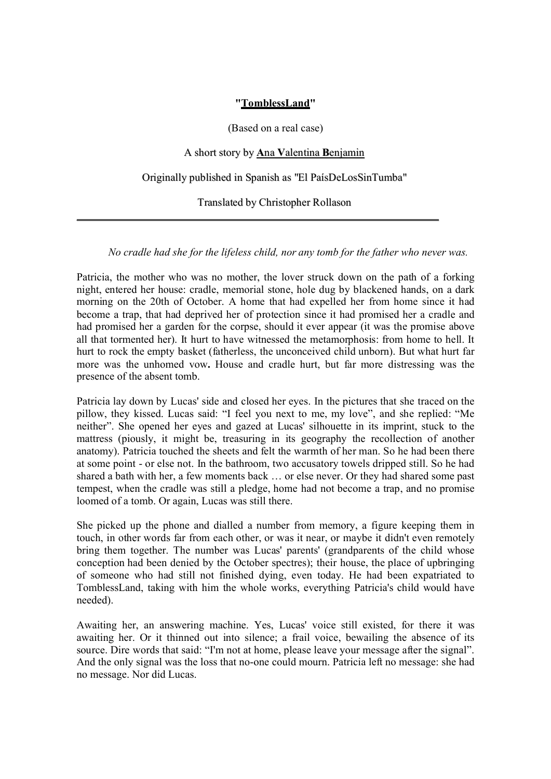## **"TomblessLand"**

## (Based on a real case)

## A short story by **A**na **V**alentina **B**enjamin

Originally published in Spanish as "El PaísDeLosSinTumba"

Translated by Christopher Rollason

\_\_\_\_\_\_\_\_\_\_\_\_\_\_\_\_\_\_\_\_\_\_\_\_\_\_\_\_\_\_\_\_\_\_\_\_\_\_\_\_\_\_\_\_\_\_\_\_\_\_\_\_\_\_\_\_\_\_\_\_\_\_\_\_\_\_\_

*No cradle had she for the lifeless child, nor any tomb for the father who never was.*

Patricia, the mother who was no mother, the lover struck down on the path of a forking night, entered her house: cradle, memorial stone, hole dug by blackened hands, on a dark morning on the 20th of October. A home that had expelled her from home since it had become a trap, that had deprived her of protection since it had promised her a cradle and had promised her a garden for the corpse, should it ever appear (it was the promise above all that tormented her). It hurt to have witnessed the metamorphosis: from home to hell. It hurt to rock the empty basket (fatherless, the unconceived child unborn). But what hurt far more was the unhomed vow**.** House and cradle hurt, but far more distressing was the presence of the absent tomb.

Patricia lay down by Lucas' side and closed her eyes. In the pictures that she traced on the pillow, they kissed. Lucas said: "I feel you next to me, my love", and she replied: "Me neither". She opened her eyes and gazed at Lucas' silhouette in its imprint, stuck to the mattress (piously, it might be, treasuring in its geography the recollection of another anatomy). Patricia touched the sheets and felt the warmth of her man. So he had been there at some point - or else not. In the bathroom, two accusatory towels dripped still. So he had shared a bath with her, a few moments back … or else never. Or they had shared some past tempest, when the cradle was still a pledge, home had not become a trap, and no promise loomed of a tomb. Or again, Lucas was still there.

She picked up the phone and dialled a number from memory, a figure keeping them in touch, in other words far from each other, or was it near, or maybe it didn't even remotely bring them together. The number was Lucas' parents' (grandparents of the child whose conception had been denied by the October spectres); their house, the place of upbringing of someone who had still not finished dying, even today. He had been expatriated to TomblessLand, taking with him the whole works, everything Patricia's child would have needed).

Awaiting her, an answering machine. Yes, Lucas' voice still existed, for there it was awaiting her. Or it thinned out into silence; a frail voice, bewailing the absence of its source. Dire words that said: "I'm not at home, please leave your message after the signal". And the only signal was the loss that no-one could mourn. Patricia left no message: she had no message. Nor did Lucas.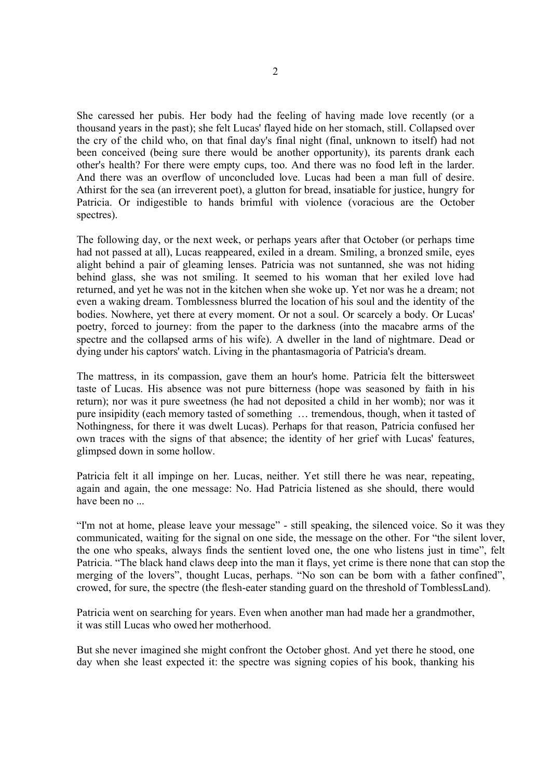She caressed her pubis. Her body had the feeling of having made love recently (or a thousand years in the past); she felt Lucas' flayed hide on her stomach, still. Collapsed over the cry of the child who, on that final day's final night (final, unknown to itself) had not been conceived (being sure there would be another opportunity), its parents drank each other's health? For there were empty cups, too. And there was no food left in the larder. And there was an overflow of unconcluded love. Lucas had been a man full of desire. Athirst for the sea (an irreverent poet), a glutton for bread, insatiable for justice, hungry for Patricia. Or indigestible to hands brimful with violence (voracious are the October spectres).

The following day, or the next week, or perhaps years after that October (or perhaps time had not passed at all), Lucas reappeared, exiled in a dream. Smiling, a bronzed smile, eyes alight behind a pair of gleaming lenses. Patricia was not suntanned, she was not hiding behind glass, she was not smiling. It seemed to his woman that her exiled love had returned, and yet he was not in the kitchen when she woke up. Yet nor was he a dream; not even a waking dream. Tomblessness blurred the location of his soul and the identity of the bodies. Nowhere, yet there at every moment. Or not a soul. Or scarcely a body. Or Lucas' poetry, forced to journey: from the paper to the darkness (into the macabre arms of the spectre and the collapsed arms of his wife). A dweller in the land of nightmare. Dead or dying under his captors' watch. Living in the phantasmagoria of Patricia's dream.

The mattress, in its compassion, gave them an hour's home. Patricia felt the bittersweet taste of Lucas. His absence was not pure bitterness (hope was seasoned by faith in his return); nor was it pure sweetness (he had not deposited a child in her womb); nor was it pure insipidity (each memory tasted of something … tremendous, though, when it tasted of Nothingness, for there it was dwelt Lucas). Perhaps for that reason, Patricia confused her own traces with the signs of that absence; the identity of her grief with Lucas' features, glimpsed down in some hollow.

Patricia felt it all impinge on her. Lucas, neither. Yet still there he was near, repeating, again and again, the one message: No. Had Patricia listened as she should, there would have been no ...

"I'm not at home, please leave your message" - still speaking, the silenced voice. So it was they communicated, waiting for the signal on one side, the message on the other. For "the silent lover, the one who speaks, always finds the sentient loved one, the one who listens just in time", felt Patricia. "The black hand claws deep into the man it flays, yet crime is there none that can stop the merging of the lovers", thought Lucas, perhaps. "No son can be born with a father confined", crowed, for sure, the spectre (the flesh-eater standing guard on the threshold of TomblessLand).

Patricia went on searching for years. Even when another man had made her a grandmother, it was still Lucas who owed her motherhood.

But she never imagined she might confront the October ghost. And yet there he stood, one day when she least expected it: the spectre was signing copies of his book, thanking his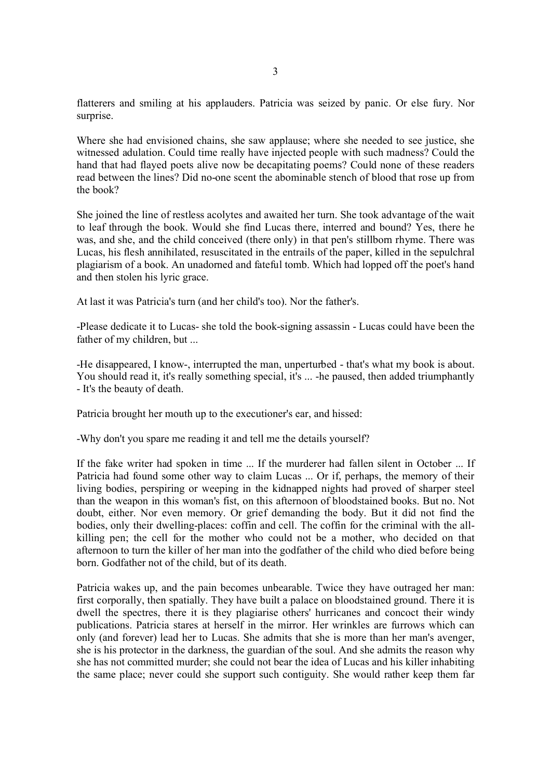flatterers and smiling at his applauders. Patricia was seized by panic. Or else fury. Nor surprise.

Where she had envisioned chains, she saw applause; where she needed to see justice, she witnessed adulation. Could time really have injected people with such madness? Could the hand that had flayed poets alive now be decapitating poems? Could none of these readers read between the lines? Did no-one scent the abominable stench of blood that rose up from the book?

She joined the line of restless acolytes and awaited her turn. She took advantage of the wait to leaf through the book. Would she find Lucas there, interred and bound? Yes, there he was, and she, and the child conceived (there only) in that pen's stillborn rhyme. There was Lucas, his flesh annihilated, resuscitated in the entrails of the paper, killed in the sepulchral plagiarism of a book. An unadorned and fateful tomb. Which had lopped off the poet's hand and then stolen his lyric grace.

At last it was Patricia's turn (and her child's too). Nor the father's.

-Please dedicate it to Lucas- she told the book-signing assassin - Lucas could have been the father of my children, but ...

-He disappeared, I know-, interrupted the man, unperturbed - that's what my book is about. You should read it, it's really something special, it's ... -he paused, then added triumphantly - It's the beauty of death.

Patricia brought her mouth up to the executioner's ear, and hissed:

-Why don't you spare me reading it and tell me the details yourself?

If the fake writer had spoken in time ... If the murderer had fallen silent in October ... If Patricia had found some other way to claim Lucas ... Or if, perhaps, the memory of their living bodies, perspiring or weeping in the kidnapped nights had proved of sharper steel than the weapon in this woman's fist, on this afternoon of bloodstained books. But no. Not doubt, either. Nor even memory. Or grief demanding the body. But it did not find the bodies, only their dwelling-places: coffin and cell. The coffin for the criminal with the allkilling pen; the cell for the mother who could not be a mother, who decided on that afternoon to turn the killer of her man into the godfather of the child who died before being born. Godfather not of the child, but of its death.

Patricia wakes up, and the pain becomes unbearable. Twice they have outraged her man: first corporally, then spatially. They have built a palace on bloodstained ground. There it is dwell the spectres, there it is they plagiarise others' hurricanes and concoct their windy publications. Patricia stares at herself in the mirror. Her wrinkles are furrows which can only (and forever) lead her to Lucas. She admits that she is more than her man's avenger, she is his protector in the darkness, the guardian of the soul. And she admits the reason why she has not committed murder; she could not bear the idea of Lucas and his killer inhabiting the same place; never could she support such contiguity. She would rather keep them far